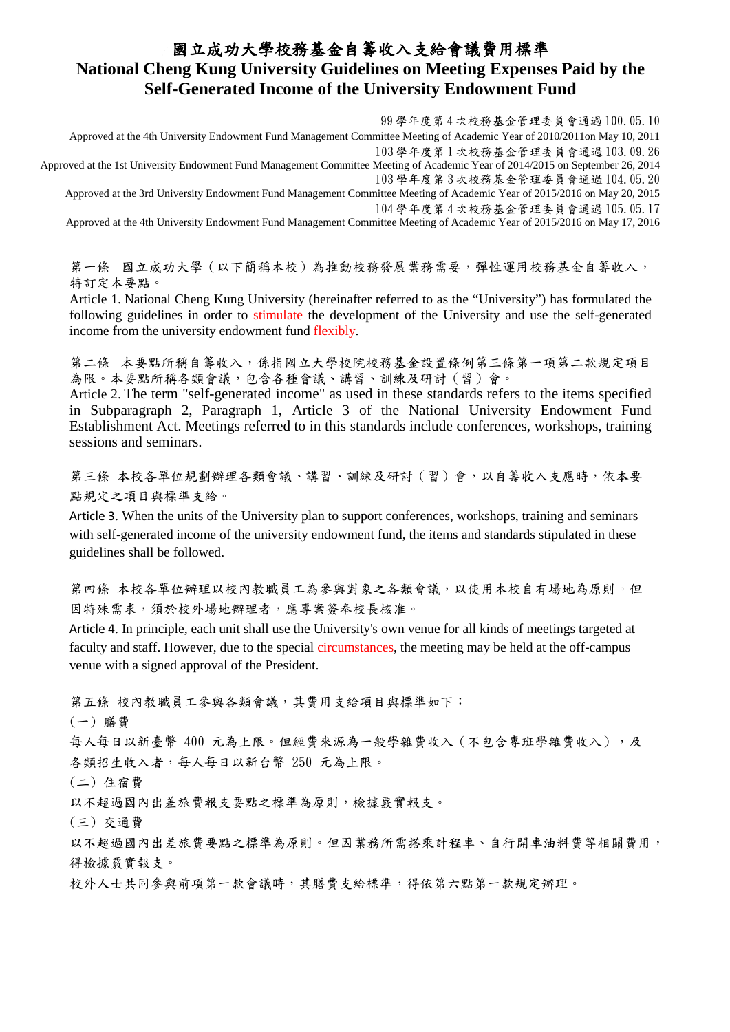## 國立成功大學校務基金自籌收入支給會議費用標準 **National Cheng Kung University Guidelines on Meeting Expenses Paid by the Self-Generated Income of the University Endowment Fund**

99 學年度第 4 次校務基金管理委員會通過 100.05.10

Approved at the 4th University Endowment Fund Management Committee Meeting of Academic Year of 2010/2011on May 10, 2011 103 學年度第 1 次校務基金管理委員會通過 103.09.26

Approved at the 1st University Endowment Fund Management Committee Meeting of Academic Year of 2014/2015 on September 26, 2014 103 學年度第 3 次校務基金管理委員會通過 104.05.20

Approved at the 3rd University Endowment Fund Management Committee Meeting of Academic Year of 2015/2016 on May 20, 2015 104 學年度第 4 次校務基金管理委員會通過 105.05.17

Approved at the 4th University Endowment Fund Management Committee Meeting of Academic Year of 2015/2016 on May 17, 2016

第一條 國立成功大學 (以下簡稱本校)為推動校務發展業務需要,彈性運用校務基金自籌收入, 特訂定本要點。

Article 1. National Cheng Kung University (hereinafter referred to as the "University") has formulated the following guidelines in order to stimulate the development of the University and use the self-generated income from the university endowment fund flexibly.

第二條 本要點所稱自籌收入,係指國立大學校院校務基金設置條例第三條第一項第二款規定項目 為限。本要點所稱各類會議,包含各種會議、講習、訓練及研討(習)會。

Article 2. The term "self-generated income" as used in these standards refers to the items specified in Subparagraph 2, Paragraph 1, Article 3 of the [National University Endowment Fund](https://law.moj.gov.tw/ENG/LawClass/LawAll.aspx?pcode=H0030025)  [Establishment Act.](https://law.moj.gov.tw/ENG/LawClass/LawAll.aspx?pcode=H0030025) Meetings referred to in this standards include conferences, workshops, training sessions and seminars.

第三條 本校各單位規劃辦理各類會議、講習、訓練及研討(習)會,以自籌收入支應時,依本要 點規定之項目與標準支給。

Article 3. When the units of the University plan to support conferences, workshops, training and seminars with self-generated income of the university endowment fund, the items and standards stipulated in these guidelines shall be followed.

第四條 本校各單位辦理以校內教職員工為參與對象之各類會議,以使用本校自有場地為原則。但 因特殊需求,須於校外場地辦理者,應專案簽奉校長核准。

Article 4. In principle, each unit shall use the University's own venue for all kinds of meetings targeted at faculty and staff. However, due to the special circumstances, the meeting may be held at the off-campus venue with a signed approval of the President.

第五條 校內教職員工參與各類會議,其費用支給項目與標準如下:

(一) 膳費

每人每日以新臺幣 400 元為上限。但經費來源為一般學雜費收入(不包含專班學雜費收入),及 各類招生收入者,每人每日以新台幣 250 元為上限。

(二) 住宿費

以不超過國內出差旅費報支要點之標準為原則,檢據覈實報支。

(三) 交通費

以不超過國內出差旅費要點之標準為原則。但因業務所需搭乘計程車、自行開車油料費等相關費用, 得檢據覈實報支。

校外人士共同參與前項第一款會議時,其膳費支給標準,得依第六點第一款規定辦理。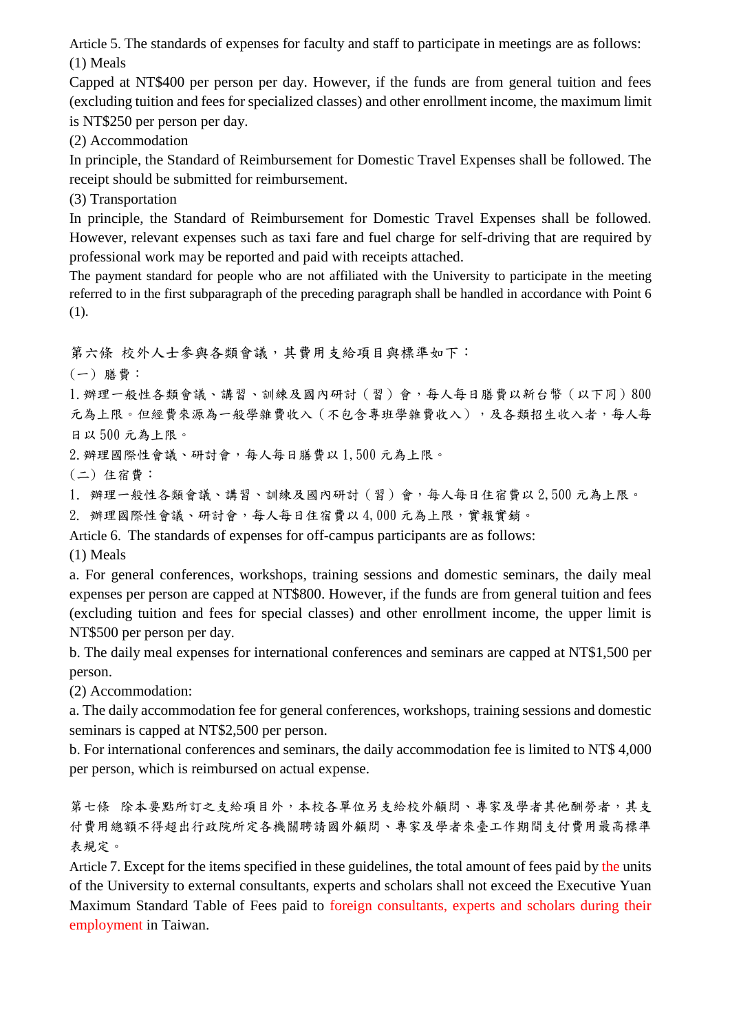Article 5. The standards of expenses for faculty and staff to participate in meetings are as follows: (1) Meals

Capped at NT\$400 per person per day. However, if the funds are from general tuition and fees (excluding tuition and fees for specialized classes) and other enrollment income, the maximum limit is NT\$250 per person per day.

(2) Accommodation

In principle, the Standard of Reimbursement for Domestic Travel Expenses shall be followed. The receipt should be submitted for reimbursement.

(3) Transportation

In principle, the Standard of Reimbursement for Domestic Travel Expenses shall be followed. However, relevant expenses such as taxi fare and fuel charge for self-driving that are required by professional work may be reported and paid with receipts attached.

The payment standard for people who are not affiliated with the University to participate in the meeting referred to in the first subparagraph of the preceding paragraph shall be handled in accordance with Point 6 (1).

第六條 校外人士參與各類會議,其費用支給項目與標準如下:

(一) 膳費:

1.辦理一般性各類會議、講習、訓練及國內研討(習)會,每人每日膳費以新台幣(以下同)800 元為上限。但經費來源為一般學雜費收入(不包含專班學雜費收入),及各類招生收入者,每人每 日以 500 元為上限。

2. 辦理國際性會議、研討會,每人每日膳費以 1,500 元為上限。

(二) 住宿費:

1. 辦理一般性各類會議、講習、訓練及國內研討(習)會,每人每日住宿費以 2,500 元為上限。

2. 辦理國際性會議、研討會,每人每日住宿費以4,000元為上限,實報實銷。

Article 6. The standards of expenses for off-campus participants are as follows: (1) Meals

a. For general conferences, workshops, training sessions and domestic seminars, the daily meal expenses per person are capped at NT\$800. However, if the funds are from general tuition and fees (excluding tuition and fees for special classes) and other enrollment income, the upper limit is NT\$500 per person per day.

b. The daily meal expenses for international conferences and seminars are capped at NT\$1,500 per person.

(2) Accommodation:

a. The daily accommodation fee for general conferences, workshops, training sessions and domestic seminars is capped at NT\$2,500 per person.

b. For international conferences and seminars, the daily accommodation fee is limited to NT\$ 4,000 per person, which is reimbursed on actual expense.

第七條 除本要點所訂之支給項目外,本校各單位另支給校外顧問、專家及學者其他酬勞者,其支 付費用總額不得超出行政院所定各機關聘請國外顧問、專家及學者來臺工作期間支付費用最高標準 表規定。

Article 7. Except for the items specified in these guidelines, the total amount of fees paid by the units of the University to external consultants, experts and scholars shall not exceed the Executive Yuan Maximum Standard Table of Fees paid to foreign consultants, experts and scholars during their employment in Taiwan.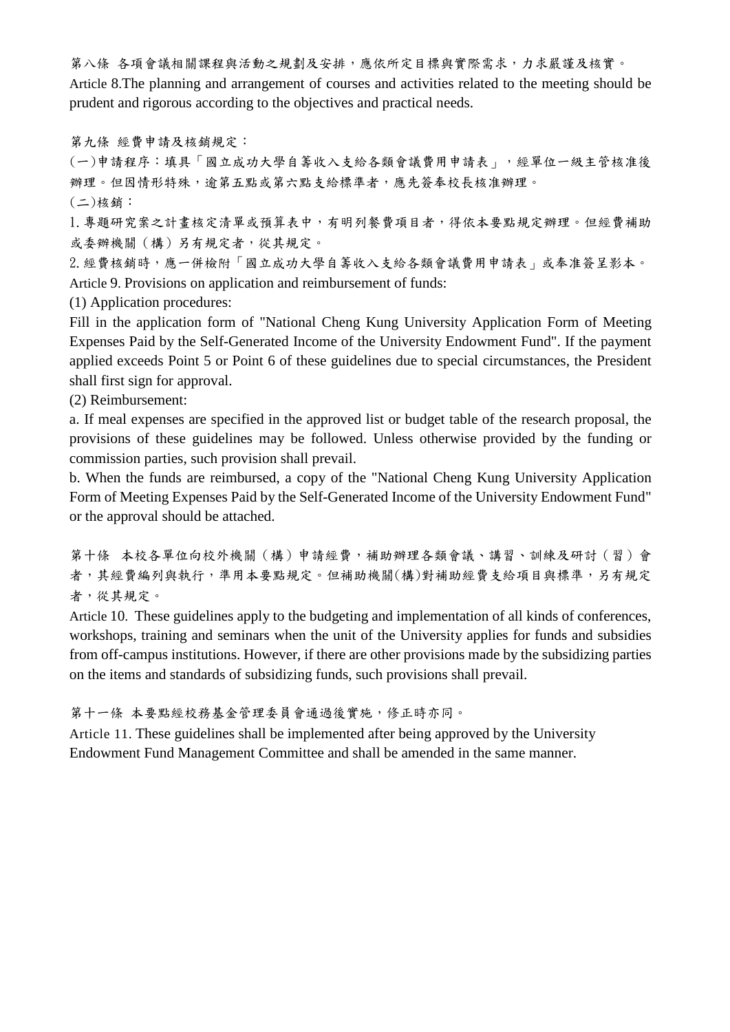第八條 各項會議相關課程與活動之規劃及安排,應依所定目標與實際需求,力求嚴謹及核實。 Article 8.The planning and arrangement of courses and activities related to the meeting should be prudent and rigorous according to the objectives and practical needs.

第九條 經費申請及核銷規定:

(一)申請程序:填具「國立成功大學自籌收入支給各類會議費用申請表」,經單位一級主管核准後 辦理。但因情形特殊,逾第五點或第六點支給標準者,應先簽奉校長核准辦理。 (二)核銷:

1.專題研究案之計畫核定清單或預算表中,有明列餐費項目者,得依本要點規定辦理。但經費補助 或委辦機關(構)另有規定者,從其規定。

2.經費核銷時,應一併檢附「國立成功大學自籌收入支給各類會議費用申請表」或奉准簽呈影本。 Article 9. Provisions on application and reimbursement of funds:

(1) Application procedures:

Fill in the application form of "National Cheng Kung University Application Form of Meeting Expenses Paid by the Self-Generated Income of the University Endowment Fund". If the payment applied exceeds Point 5 or Point 6 of these guidelines due to special circumstances, the President shall first sign for approval.

(2) Reimbursement:

a. If meal expenses are specified in the approved list or budget table of the research proposal, the provisions of these guidelines may be followed. Unless otherwise provided by the funding or commission parties, such provision shall prevail.

b. When the funds are reimbursed, a copy of the "National Cheng Kung University Application Form of Meeting Expenses Paid by the Self-Generated Income of the University Endowment Fund" or the approval should be attached.

第十條 本校各單位向校外機關 (構)申請經費,補助辦理各類會議、講習、訓練及研討(習)會 者,其經費編列與執行,準用本要點規定。但補助機關(構)對補助經費支給項目與標準,另有規定 者,從其規定。

Article 10. These guidelines apply to the budgeting and implementation of all kinds of conferences, workshops, training and seminars when the unit of the University applies for funds and subsidies from off-campus institutions. However, if there are other provisions made by the subsidizing parties on the items and standards of subsidizing funds, such provisions shall prevail.

第十一條 本要點經校務基金管理委員會通過後實施,修正時亦同。

Article 11. These guidelines shall be implemented after being approved by the University Endowment Fund Management Committee and shall be amended in the same manner.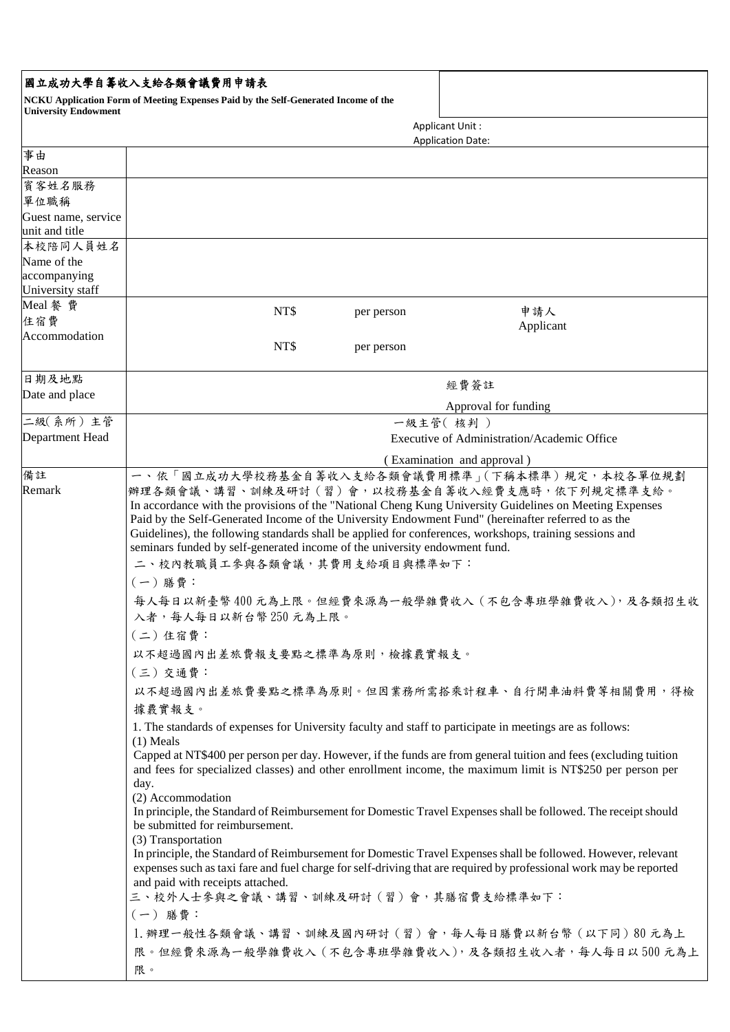## 國立成功大學自籌收入支給各類會議費用申請表

**NCKU Application Form of Meeting Expenses Paid by the Self-Generated Income of the University Endowment**

|                                       | <b>Applicant Unit:</b>                                                                                                                                                                                                                                                                                                                                                                                                                                                                                                                                                                                                                                                                                                                                                                                                                                                                                                                                                                                                                                                                                                                                                                                                                                                                                                                                                                                                                                                                                                                                                                                                                                |            |                          |
|---------------------------------------|-------------------------------------------------------------------------------------------------------------------------------------------------------------------------------------------------------------------------------------------------------------------------------------------------------------------------------------------------------------------------------------------------------------------------------------------------------------------------------------------------------------------------------------------------------------------------------------------------------------------------------------------------------------------------------------------------------------------------------------------------------------------------------------------------------------------------------------------------------------------------------------------------------------------------------------------------------------------------------------------------------------------------------------------------------------------------------------------------------------------------------------------------------------------------------------------------------------------------------------------------------------------------------------------------------------------------------------------------------------------------------------------------------------------------------------------------------------------------------------------------------------------------------------------------------------------------------------------------------------------------------------------------------|------------|--------------------------|
| 事由                                    |                                                                                                                                                                                                                                                                                                                                                                                                                                                                                                                                                                                                                                                                                                                                                                                                                                                                                                                                                                                                                                                                                                                                                                                                                                                                                                                                                                                                                                                                                                                                                                                                                                                       |            | <b>Application Date:</b> |
| Reason                                |                                                                                                                                                                                                                                                                                                                                                                                                                                                                                                                                                                                                                                                                                                                                                                                                                                                                                                                                                                                                                                                                                                                                                                                                                                                                                                                                                                                                                                                                                                                                                                                                                                                       |            |                          |
| 賓客姓名服務                                |                                                                                                                                                                                                                                                                                                                                                                                                                                                                                                                                                                                                                                                                                                                                                                                                                                                                                                                                                                                                                                                                                                                                                                                                                                                                                                                                                                                                                                                                                                                                                                                                                                                       |            |                          |
| 單位職稱                                  |                                                                                                                                                                                                                                                                                                                                                                                                                                                                                                                                                                                                                                                                                                                                                                                                                                                                                                                                                                                                                                                                                                                                                                                                                                                                                                                                                                                                                                                                                                                                                                                                                                                       |            |                          |
| Guest name, service<br>unit and title |                                                                                                                                                                                                                                                                                                                                                                                                                                                                                                                                                                                                                                                                                                                                                                                                                                                                                                                                                                                                                                                                                                                                                                                                                                                                                                                                                                                                                                                                                                                                                                                                                                                       |            |                          |
| 本校陪同人員姓名                              |                                                                                                                                                                                                                                                                                                                                                                                                                                                                                                                                                                                                                                                                                                                                                                                                                                                                                                                                                                                                                                                                                                                                                                                                                                                                                                                                                                                                                                                                                                                                                                                                                                                       |            |                          |
| Name of the                           |                                                                                                                                                                                                                                                                                                                                                                                                                                                                                                                                                                                                                                                                                                                                                                                                                                                                                                                                                                                                                                                                                                                                                                                                                                                                                                                                                                                                                                                                                                                                                                                                                                                       |            |                          |
| accompanying<br>University staff      |                                                                                                                                                                                                                                                                                                                                                                                                                                                                                                                                                                                                                                                                                                                                                                                                                                                                                                                                                                                                                                                                                                                                                                                                                                                                                                                                                                                                                                                                                                                                                                                                                                                       |            |                          |
| Meal 餐費                               |                                                                                                                                                                                                                                                                                                                                                                                                                                                                                                                                                                                                                                                                                                                                                                                                                                                                                                                                                                                                                                                                                                                                                                                                                                                                                                                                                                                                                                                                                                                                                                                                                                                       |            |                          |
| 住宿費                                   | NT\$                                                                                                                                                                                                                                                                                                                                                                                                                                                                                                                                                                                                                                                                                                                                                                                                                                                                                                                                                                                                                                                                                                                                                                                                                                                                                                                                                                                                                                                                                                                                                                                                                                                  | per person | 申請人<br>Applicant         |
| Accommodation                         |                                                                                                                                                                                                                                                                                                                                                                                                                                                                                                                                                                                                                                                                                                                                                                                                                                                                                                                                                                                                                                                                                                                                                                                                                                                                                                                                                                                                                                                                                                                                                                                                                                                       |            |                          |
|                                       | NT\$                                                                                                                                                                                                                                                                                                                                                                                                                                                                                                                                                                                                                                                                                                                                                                                                                                                                                                                                                                                                                                                                                                                                                                                                                                                                                                                                                                                                                                                                                                                                                                                                                                                  | per person |                          |
| 日期及地點<br>Date and place               | 經費簽註<br>Approval for funding                                                                                                                                                                                                                                                                                                                                                                                                                                                                                                                                                                                                                                                                                                                                                                                                                                                                                                                                                                                                                                                                                                                                                                                                                                                                                                                                                                                                                                                                                                                                                                                                                          |            |                          |
|                                       |                                                                                                                                                                                                                                                                                                                                                                                                                                                                                                                                                                                                                                                                                                                                                                                                                                                                                                                                                                                                                                                                                                                                                                                                                                                                                                                                                                                                                                                                                                                                                                                                                                                       |            |                          |
| 二級(系所)主管                              | 一級主管(核判)                                                                                                                                                                                                                                                                                                                                                                                                                                                                                                                                                                                                                                                                                                                                                                                                                                                                                                                                                                                                                                                                                                                                                                                                                                                                                                                                                                                                                                                                                                                                                                                                                                              |            |                          |
| Department Head                       | Executive of Administration/Academic Office                                                                                                                                                                                                                                                                                                                                                                                                                                                                                                                                                                                                                                                                                                                                                                                                                                                                                                                                                                                                                                                                                                                                                                                                                                                                                                                                                                                                                                                                                                                                                                                                           |            |                          |
| 備註                                    | (Examination and approval)                                                                                                                                                                                                                                                                                                                                                                                                                                                                                                                                                                                                                                                                                                                                                                                                                                                                                                                                                                                                                                                                                                                                                                                                                                                                                                                                                                                                                                                                                                                                                                                                                            |            |                          |
| Remark                                | 一、依「國立成功大學校務基金自籌收入支給各類會議費用標準」(下稱本標準)規定,本校各單位規劃<br>辦理各類會議、講習、訓練及研討(習)會,以校務基金自籌收入經費支應時,依下列規定標準支給。<br>In accordance with the provisions of the "National Cheng Kung University Guidelines on Meeting Expenses<br>Paid by the Self-Generated Income of the University Endowment Fund" (hereinafter referred to as the<br>Guidelines), the following standards shall be applied for conferences, workshops, training sessions and<br>seminars funded by self-generated income of the university endowment fund.<br>二、校內教職員工參與各類會議,其費用支給項目與標準如下:<br>(一)膳費:<br>每人每日以新臺幣400元為上限。但經費來源為一般學雜費收入(不包含專班學雜費收入),及各類招生收<br>入者,每人每日以新台幣250元為上限。<br>(二) 住宿費:<br>以不超過國內出差旅費報支要點之標準為原則,檢據覈實報支。<br>(三)交通費:<br>以不超過國內出差旅費要點之標準為原則。但因業務所需搭乘計程車、自行開車油料費等相關費用,得檢<br>據覈實報支。<br>1. The standards of expenses for University faculty and staff to participate in meetings are as follows:<br>$(1)$ Meals<br>Capped at NT\$400 per person per day. However, if the funds are from general tuition and fees (excluding tuition<br>and fees for specialized classes) and other enrollment income, the maximum limit is NT\$250 per person per<br>day.<br>(2) Accommodation<br>In principle, the Standard of Reimbursement for Domestic Travel Expenses shall be followed. The receipt should<br>be submitted for reimbursement.<br>(3) Transportation<br>In principle, the Standard of Reimbursement for Domestic Travel Expenses shall be followed. However, relevant<br>expenses such as taxi fare and fuel charge for self-driving that are required by professional work may be reported<br>and paid with receipts attached.<br>三、校外人士參與之會議、講習、訓練及研討(習)會,其膳宿費支給標準如下:<br>(一) 膳費: |            |                          |
|                                       | 1. 辦理一般性各類會議、講習、訓練及國內研討(習)會,每人每日膳費以新台幣(以下同)80元為上<br>限。但經費來源為一般學雜費收入(不包含專班學雜費收入),及各類招生收入者,每人每日以500元為上                                                                                                                                                                                                                                                                                                                                                                                                                                                                                                                                                                                                                                                                                                                                                                                                                                                                                                                                                                                                                                                                                                                                                                                                                                                                                                                                                                                                                                                                                                                                                  |            |                          |
|                                       | 限。                                                                                                                                                                                                                                                                                                                                                                                                                                                                                                                                                                                                                                                                                                                                                                                                                                                                                                                                                                                                                                                                                                                                                                                                                                                                                                                                                                                                                                                                                                                                                                                                                                                    |            |                          |